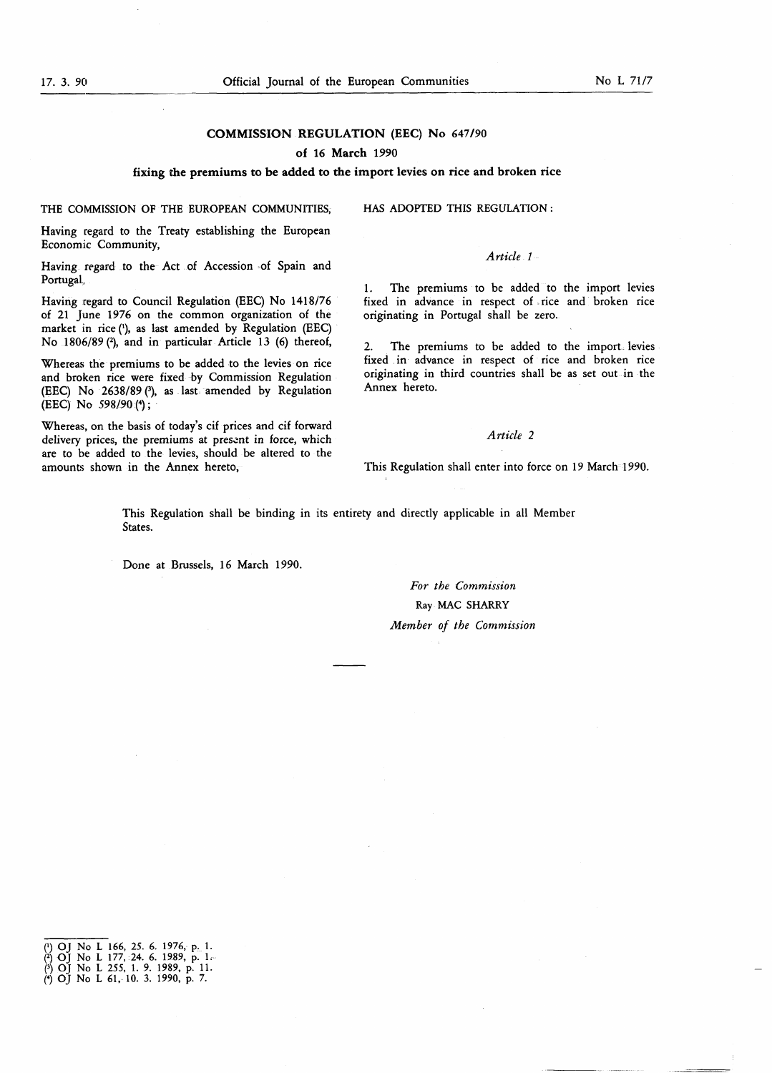### COMMISSION REGULATION (EEC) No 647/90

#### of 16 March 1990

fixing the premiums to be added to the import levies on rice and broken rice

THE COMMISSION OF THE EUROPEAN COMMUNITIES,

Having regard to the Treaty establishing the European Economic Community,

Having regard to the Act of Accession of Spain and Portugal,

Having regard to Council Regulation (EEC) No 1418/76 of 21 June 1976 on the common organization of the market in rice ('), as last amended by Regulation (EEC) No 1806/89 (2), and in particular Article 13 (6) thereof,

Whereas the premiums to be added to the levies on rice and broken rice were fixed by Commission Regulation (EEC) No 2638/89 (3), as last amended by Regulation (EEC) No  $598/90$  (4);

Whereas, on the basis of today's cif prices and cif forward delivery prices, the premiums at present in force, which are to be added to the levies, should be altered to the amounts shown in the Annex hereto,

HAS ADOPTED THIS REGULATION :

#### Article 1-

1. The premiums to be added to the import levies fixed in advance in respect of . rice and broken rice originating in Portugal shall be zero.

2. The premiums to be added to the import levies fixed in advance in respect of rice and broken rice originating in third countries shall be as set out in the Annex hereto.

#### Article 2

This Regulation shall enter into force on 19 March 1990.

This Regulation shall be binding in its entirety and directly applicable in all Member States.

Done at Brussels, 16 March 1990.

# For the Commission Ray MAC SHARRY Member of the Commission

- 
- 
- (<) OJ No L 61 , 10. 3. 1990, p. 7.

<sup>(•)</sup> OJ No L 166, 25. 6. 1976, p. <sup>1</sup> . (2) OJ No <sup>L</sup> 177, 24. 6. 1989, p. <sup>1</sup> , f3) OJ No L 255, <sup>1</sup> . 9. 1989, p. 11 .